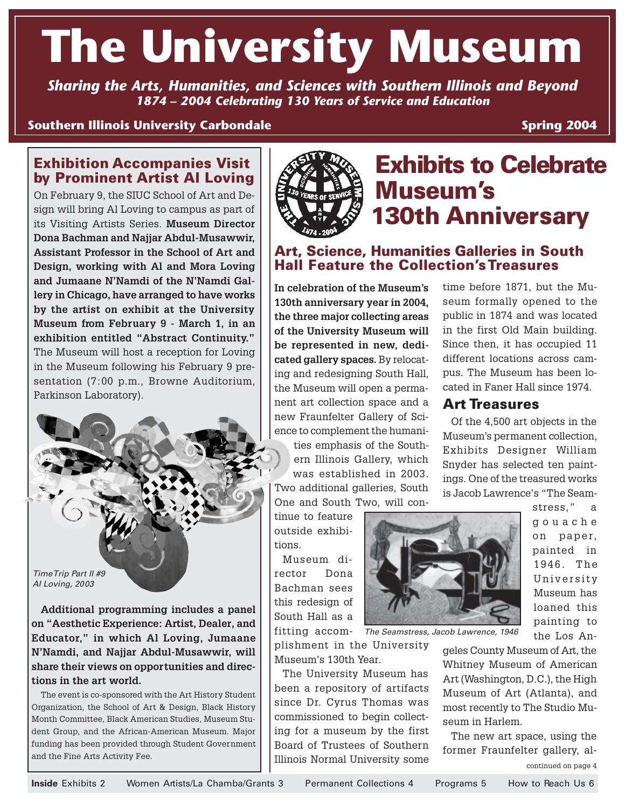# **The University Museum**

*Sharing the Arts, Humanities, and Sciences with Southern Illinois and Beyond 1874 – 2004 Celebrating 130 Years of Service and Education*

#### **Southern Illinois University Carbondale**

**Spring 2004**

#### **Exhibition Accompanies Visit by Prominent Artist Al Loving**

On February 9, the SIUC School of Art and Design will bring Al Loving to campus as part of its Visiting Artists Series. **Museum Director Dona Bachman and Najjar Abdul-Musawwir, Assistant Professor in the School of Art and Design, working with Al and Mora Loving and Jumaane N'Namdi of the N'Namdi Gallery in Chicago, have arranged to have works by the artist on exhibit at the University Museum from February 9 - March 1, in an exhibition entitled "Abstract Continuity."** The Museum will host a reception for Loving in the Museum following his February 9 presentation (7:00 p.m., Browne Auditorium, Parkinson Laboratory).



**Additional programming includes a panel on "Aesthetic Experience: Artist, Dealer, and Educator," in which Al Loving, Jumaane N'Namdi, and Najjar Abdul-Musawwir, will share their views on opportunities and directions in the art world.**

The event is co-sponsored with the Art History Student Organization, the School of Art & Design, Black History Month Committee, Black American Studies, Museum Student Group, and the African-American Museum. Major funding has been provided through Student Government and the Fine Arts Activity Fee.



### **Exhibits to Celebrate Museum's 130th Anniversary**

**Art Treasures**

time before 1871, but the Museum formally opened to the public in 1874 and was located in the first Old Main building. Since then, it has occupied 11 different locations across campus. The Museum has been located in Faner Hall since 1974.

Of the 4,500 art objects in the Museum's permanent collection, Exhibits Designer William Snyder has selected ten paint-

#### **Art, Science, Humanities Galleries in South Hall Feature the Collection's Treasures**

**In celebration of the Museum's 130th anniversary year in 2004, the three major collecting areas of the University Museum will be represented in new, dedicated gallery spaces.** By relocating and redesigning South Hall, the Museum will open a permanent art collection space and a new Fraunfelter Gallery of Science to complement the humanities emphasis of the Southern Illinois Gallery, which was established in 2003. Two additional galleries, South One and South Two, will con-

tinue to feature outside exhibitions.

Museum director Dona Bachman sees this redesign of South Hall as a fitting accom-

plishment in the University Museum's 130th Year.

The University Museum has been a repository of artifacts since Dr. Cyrus Thomas was commissioned to begin collecting for a museum by the first Board of Trustees of Southern Illinois Normal University some



The Seamstress, Jacob Lawrence, 1946

geles County Museum of Art, the Whitney Museum of American Art (Washington, D.C.), the High Museum of Art (Atlanta), and most recently to The Studio Museum in Harlem.

The new art space, using the former Fraunfelter gallery, al-

painting to the Los An-

ings. One of the treasured works is Jacob Lawrence's "The Seamstress," a gouache on paper, painted in 1946. The University Museum has loaned this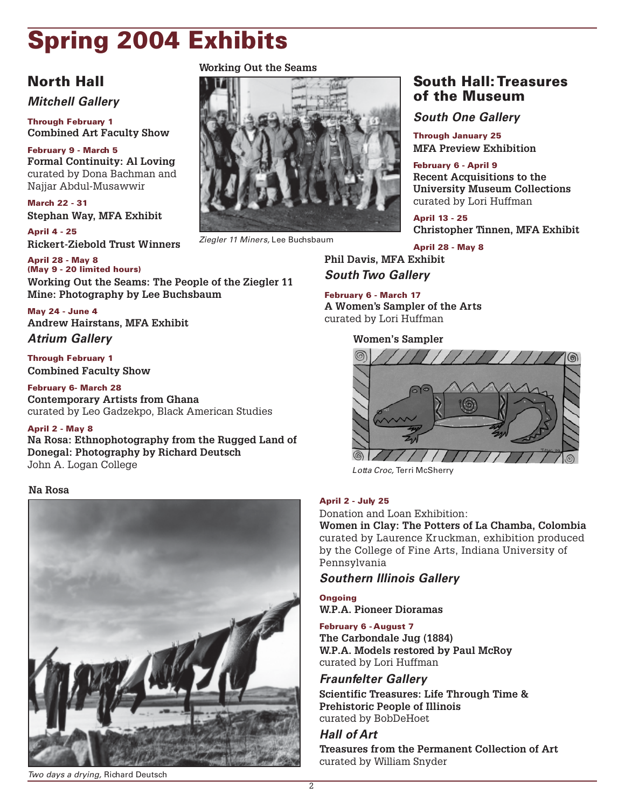### **Spring 2004 Exhibits**

### **North Hall**

**Mitchell Gallery**

**Through February 1 Combined Art Faculty Show**

**February 9 - March 5 Formal Continuity: Al Loving** curated by Dona Bachman and Najjar Abdul-Musawwir

**March 22 - 31 Stephan Way, MFA Exhibit**

**April 4 - 25 Rickert-Ziebold Trust Winners**

**April 28 - May 8 (May 9 - 20 limited hours) Working Out the Seams: The People of the Ziegler 11 Mine: Photography by Lee Buchsbaum**

**May 24 - June 4 Andrew Hairstans, MFA Exhibit**

#### **Atrium Gallery**

**Through February 1 Combined Faculty Show**

**February 6- March 28 Contemporary Artists from Ghana** curated by Leo Gadzekpo, Black American Studies

#### **April 2 - May 8**

**Na Rosa: Ethnophotography from the Rugged Land of Donegal: Photography by Richard Deutsch** John A. Logan College

#### **Na Rosa**



#### Two days a drying, Richard Deutsch

**Working Out the Seams**



Ziegler 11 Miners, Lee Buchsbaum

#### **South Hall: Treasures of the Museum**

**South One Gallery**

**Through January 25 MFA Preview Exhibition**

**February 6 - April 9 Recent Acquisitions to the University Museum Collections** curated by Lori Huffman

**April 13 - 25 Christopher Tinnen, MFA Exhibit**

**April 28 - May 8 Phil Davis, MFA Exhibit South Two Gallery**

#### **February 6 - March 17**

**A Women's Sampler of the Arts** curated by Lori Huffman

**Women's Sampler**



Lotta Croc, Terri McSherry

#### **April 2 - July 25**

Donation and Loan Exhibition:

**Women in Clay: The Potters of La Chamba, Colombia** curated by Laurence Kruckman, exhibition produced by the College of Fine Arts, Indiana University of Pennsylvania

#### **Southern Illinois Gallery**

**Ongoing W.P.A. Pioneer Dioramas**

#### **February 6 - August 7**

**The Carbondale Jug (1884) W.P.A. Models restored by Paul McRoy** curated by Lori Huffman

#### **Fraunfelter Gallery**

**Scientific Treasures: Life Through Time & Prehistoric People of Illinois** curated by BobDeHoet

#### **Hall of Art**

**Treasures from the Permanent Collection of Art** curated by William Snyder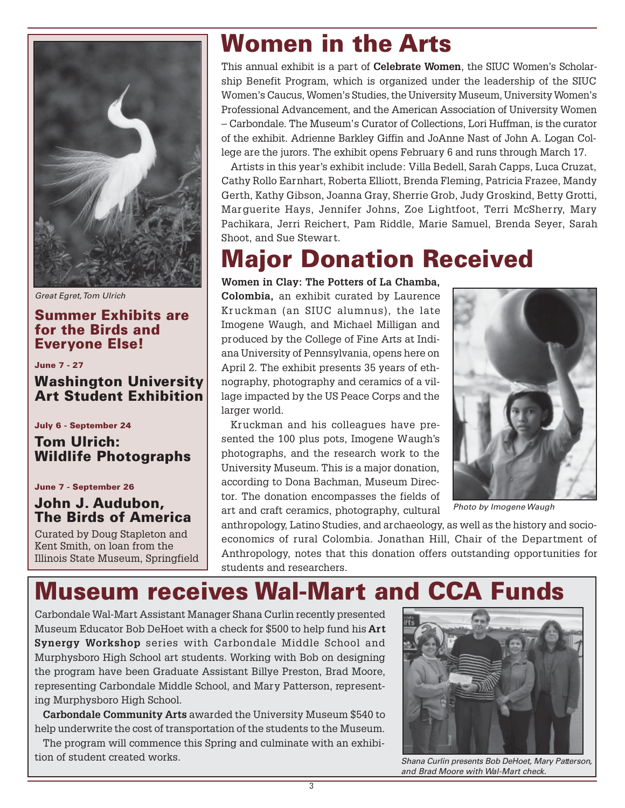

Great Egret, Tom Ulrich

#### **Summer Exhibits are for the Birds and Everyone Else!**

**June 7 - 27**

#### **Washington University Art Student Exhibition**

**July 6 - September 24**

**Tom Ulrich: Wildlife Photographs**

**June 7 - September 26**

#### **John J. Audubon, The Birds of America**

Curated by Doug Stapleton and Kent Smith, on loan from the Illinois State Museum, Springfield

## **Women in the Arts**

This annual exhibit is a part of **Celebrate Women**, the SIUC Women's Scholarship Benefit Program, which is organized under the leadership of the SIUC Women's Caucus, Women's Studies, the University Museum, University Women's Professional Advancement, and the American Association of University Women – Carbondale. The Museum's Curator of Collections, Lori Huffman, is the curator of the exhibit. Adrienne Barkley Giffin and JoAnne Nast of John A. Logan College are the jurors. The exhibit opens February 6 and runs through March 17.

Artists in this year's exhibit include: Villa Bedell, Sarah Capps, Luca Cruzat, Cathy Rollo Earnhart, Roberta Elliott, Brenda Fleming, Patricia Frazee, Mandy Gerth, Kathy Gibson, Joanna Gray, Sherrie Grob, Judy Groskind, Betty Grotti, Marguerite Hays, Jennifer Johns, Zoe Lightfoot, Terri McSherry, Mary Pachikara, Jerri Reichert, Pam Riddle, Marie Samuel, Brenda Seyer, Sarah Shoot, and Sue Stewart.

### **Major Donation Received**

**Women in Clay: The Potters of La Chamba,**

**Colombia,** an exhibit curated by Laurence Kruckman (an SIUC alumnus), the late Imogene Waugh, and Michael Milligan and produced by the College of Fine Arts at Indiana University of Pennsylvania, opens here on April 2. The exhibit presents 35 years of ethnography, photography and ceramics of a village impacted by the US Peace Corps and the larger world.

Kruckman and his colleagues have presented the 100 plus pots, Imogene Waugh's photographs, and the research work to the University Museum. This is a major donation, according to Dona Bachman, Museum Director. The donation encompasses the fields of art and craft ceramics, photography, cultural



Photo by Imogene Waugh

anthropology, Latino Studies, and archaeology, as well as the history and socioeconomics of rural Colombia. Jonathan Hill, Chair of the Department of Anthropology, notes that this donation offers outstanding opportunities for students and researchers.

### **Museum receives Wal-Mart and CCA Funds**

Carbondale Wal-Mart Assistant Manager Shana Curlin recently presented Museum Educator Bob DeHoet with a check for \$500 to help fund his **Art Synergy Workshop** series with Carbondale Middle School and Murphysboro High School art students. Working with Bob on designing the program have been Graduate Assistant Billye Preston, Brad Moore, representing Carbondale Middle School, and Mary Patterson, representing Murphysboro High School.

**Carbondale Community Arts** awarded the University Museum \$540 to help underwrite the cost of transportation of the students to the Museum.

The program will commence this Spring and culminate with an exhibition of student created works.



Shana Curlin presents Bob DeHoet, Mary Patterson, and Brad Moore with Wal-Mart check.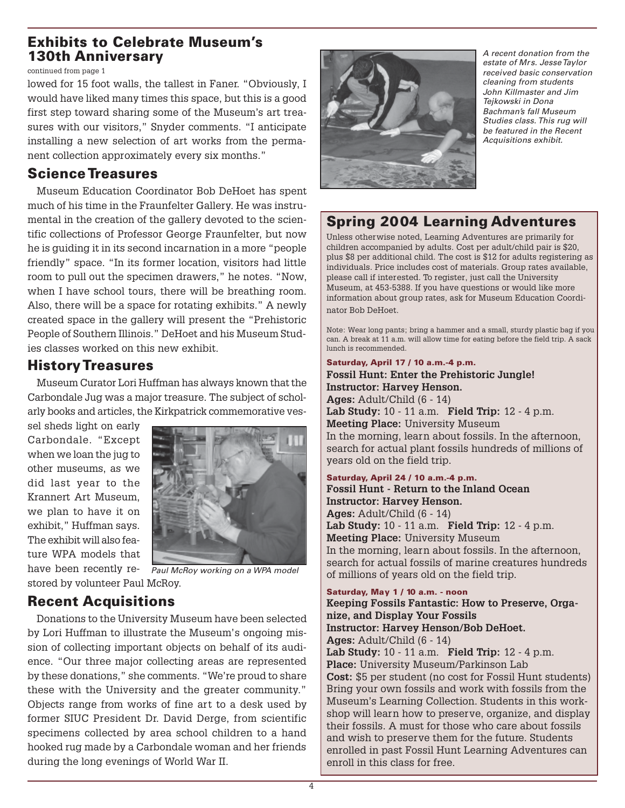#### **Exhibits to Celebrate Museum's 130th Anniversary**

continued from page 1

lowed for 15 foot walls, the tallest in Faner. "Obviously, I would have liked many times this space, but this is a good first step toward sharing some of the Museum's art treasures with our visitors," Snyder comments. "I anticipate installing a new selection of art works from the permanent collection approximately every six months."

#### **Science Treasures**

Museum Education Coordinator Bob DeHoet has spent much of his time in the Fraunfelter Gallery. He was instrumental in the creation of the gallery devoted to the scientific collections of Professor George Fraunfelter, but now he is guiding it in its second incarnation in a more "people friendly" space. "In its former location, visitors had little room to pull out the specimen drawers," he notes. "Now, when I have school tours, there will be breathing room. Also, there will be a space for rotating exhibits." A newly created space in the gallery will present the "Prehistoric People of Southern Illinois." DeHoet and his Museum Studies classes worked on this new exhibit.

#### **History Treasures**

Museum Curator Lori Huffman has always known that the Carbondale Jug was a major treasure. The subject of scholarly books and articles, the Kirkpatrick commemorative ves-

sel sheds light on early Carbondale. "Except when we loan the jug to other museums, as we did last year to the Krannert Art Museum, we plan to have it on exhibit," Huffman says. The exhibit will also feature WPA models that have been recently re-



stored by volunteer Paul McRoy. Paul McRoy working on a WPA model

#### **Recent Acquisitions**

Donations to the University Museum have been selected by Lori Huffman to illustrate the Museum's ongoing mission of collecting important objects on behalf of its audience. "Our three major collecting areas are represented by these donations," she comments. "We're proud to share these with the University and the greater community." Objects range from works of fine art to a desk used by former SIUC President Dr. David Derge, from scientific specimens collected by area school children to a hand hooked rug made by a Carbondale woman and her friends during the long evenings of World War II.



A recent donation from the estate of Mrs. Jesse Taylor received basic conservation cleaning from students John Killmaster and Jim Tejkowski in Dona Bachman's fall Museum Studies class. This rug will be featured in the Recent Acquisitions exhibit.

### **Spring 2004 Learning Adventures**

Unless otherwise noted, Learning Adventures are primarily for children accompanied by adults. Cost per adult/child pair is \$20, plus \$8 per additional child. The cost is \$12 for adults registering as individuals. Price includes cost of materials. Group rates available, please call if interested. To register, just call the University Museum, at 453-5388. If you have questions or would like more information about group rates, ask for Museum Education Coordinator Bob DeHoet.

Note: Wear long pants; bring a hammer and a small, sturdy plastic bag if you can. A break at 11 a.m. will allow time for eating before the field trip. A sack lunch is recommended.

**Saturday, April 17 / 10 a.m.-4 p.m.**

#### **Fossil Hunt: Enter the Prehistoric Jungle! Instructor: Harvey Henson. Ages:** Adult/Child (6 - 14) **Lab Study:** 10 - 11 a.m. **Field Trip:** 12 - 4 p.m. **Meeting Place:** University Museum In the morning, learn about fossils. In the afternoon, search for actual plant fossils hundreds of millions of years old on the field trip.

**Saturday, April 24 / 10 a.m.-4 p.m. Fossil Hunt - Return to the Inland Ocean Instructor: Harvey Henson. Ages:** Adult/Child (6 - 14) **Lab Study:** 10 - 11 a.m. **Field Trip:** 12 - 4 p.m. **Meeting Place:** University Museum In the morning, learn about fossils. In the afternoon, search for actual fossils of marine creatures hundreds of millions of years old on the field trip.

#### **Saturday, May 1 / 10 a.m. - noon**

**Keeping Fossils Fantastic: How to Preserve, Organize, and Display Your Fossils Instructor: Harvey Henson/Bob DeHoet. Ages:** Adult/Child (6 - 14) **Lab Study:** 10 - 11 a.m. **Field Trip:** 12 - 4 p.m. **Place:** University Museum/Parkinson Lab **Cost:** \$5 per student (no cost for Fossil Hunt students) Bring your own fossils and work with fossils from the Museum's Learning Collection. Students in this workshop will learn how to preserve, organize, and display their fossils. A must for those who care about fossils and wish to preserve them for the future. Students enrolled in past Fossil Hunt Learning Adventures can enroll in this class for free.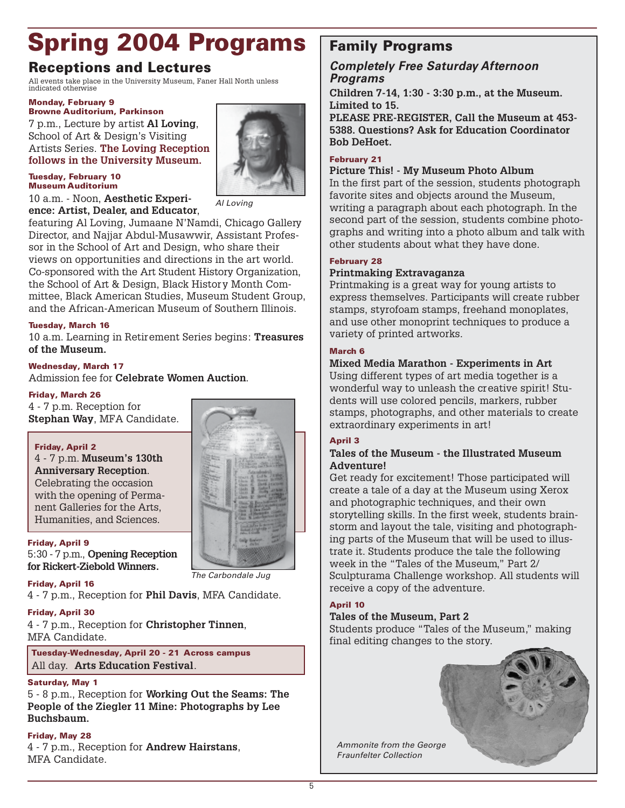## **Spring 2004 Programs**

#### **Receptions and Lectures**

All events take place in the University Museum, Faner Hall North unless indicated otherwise

#### **Monday, February 9 Browne Auditorium, Parkinson**

7 p.m., Lecture by artist **Al Loving**, School of Art & Design's Visiting Artists Series. **The Loving Reception follows in the University Museum.**

#### **Tuesday, February 10 Museum Auditorium**

10 a.m. - Noon, **Aesthetic Experience: Artist, Dealer, and Educator**,

Al Loving

featuring Al Loving, Jumaane N'Namdi, Chicago Gallery Director, and Najjar Abdul-Musawwir, Assistant Professor in the School of Art and Design, who share their views on opportunities and directions in the art world. Co-sponsored with the Art Student History Organization, the School of Art & Design, Black History Month Committee, Black American Studies, Museum Student Group, and the African-American Museum of Southern Illinois.

#### **Tuesday, March 16**

10 a.m. Learning in Retirement Series begins: **Treasures of the Museum.**

#### **Wednesday, March 17**

Admission fee for **Celebrate Women Auction**.

#### **Friday, March 26**

4 - 7 p.m. Reception for **Stephan Way**, MFA Candidate.

#### **Friday, April 2**

4 - 7 p.m. **Museum's 130th Anniversary Reception**. Celebrating the occasion with the opening of Permanent Galleries for the Arts, Humanities, and Sciences.

#### **Friday, April 9**

5:30 - 7 p.m., **Opening Reception for Rickert-Ziebold Winners.**

#### **Friday, April 16**

4 - 7 p.m., Reception for **Phil Davis**, MFA Candidate.

#### **Friday, April 30**

4 - 7 p.m., Reception for **Christopher Tinnen**, MFA Candidate.

**Tuesday-Wednesday, April 20 - 21 Across campus** All day. **Arts Education Festival**.

#### **Saturday, May 1**

5 - 8 p.m., Reception for **Working Out the Seams: The People of the Ziegler 11 Mine: Photographs by Lee Buchsbaum.**

#### **Friday, May 28**

4 - 7 p.m., Reception for **Andrew Hairstans**, MFA Candidate.



#### **Completely Free Saturday Afternoon Programs**

**Children 7-14, 1:30 - 3:30 p.m., at the Museum. Limited to 15.**

**PLEASE PRE-REGISTER, Call the Museum at 453- 5388. Questions? Ask for Education Coordinator Bob DeHoet.**

#### **February 21**

#### **Picture This! - My Museum Photo Album**

In the first part of the session, students photograph favorite sites and objects around the Museum, writing a paragraph about each photograph. In the second part of the session, students combine photographs and writing into a photo album and talk with other students about what they have done.

#### **February 28**

#### **Printmaking Extravaganza**

Printmaking is a great way for young artists to express themselves. Participants will create rubber stamps, styrofoam stamps, freehand monoplates, and use other monoprint techniques to produce a variety of printed artworks.

#### **March 6**

#### **Mixed Media Marathon - Experiments in Art**

Using different types of art media together is a wonderful way to unleash the creative spirit! Students will use colored pencils, markers, rubber stamps, photographs, and other materials to create extraordinary experiments in art!

#### **April 3**

#### **Tales of the Museum - the Illustrated Museum Adventure!**

Get ready for excitement! Those participated will create a tale of a day at the Museum using Xerox and photographic techniques, and their own storytelling skills. In the first week, students brainstorm and layout the tale, visiting and photographing parts of the Museum that will be used to illustrate it. Students produce the tale the following week in the "Tales of the Museum," Part 2/ Sculpturama Challenge workshop. All students will receive a copy of the adventure.

#### **April 10**

#### **Tales of the Museum, Part 2**

Students produce "Tales of the Museum," making final editing changes to the story.



Ammonite from the George Fraunfelter Collection